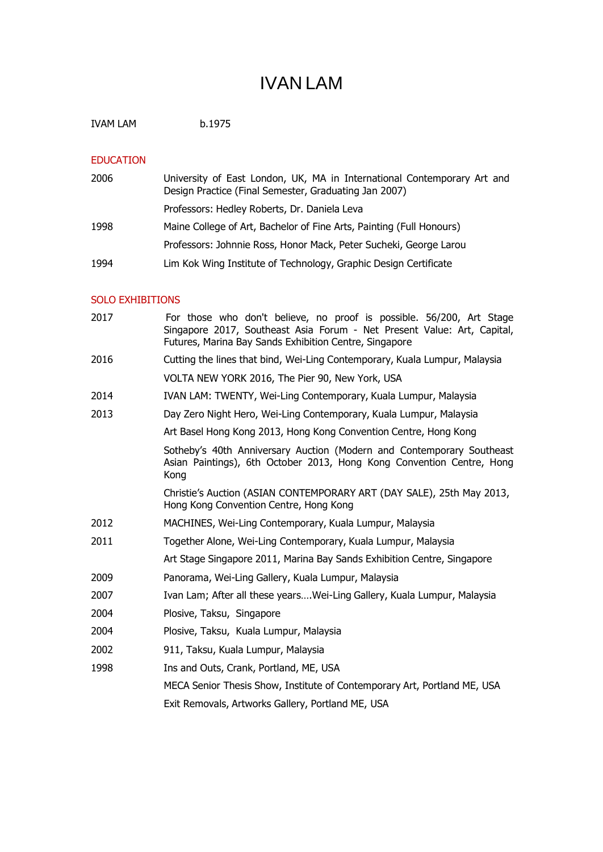# IVAN LAM

IVAM LAM b.1975

### EDUCATION

| 2006 | University of East London, UK, MA in International Contemporary Art and<br>Design Practice (Final Semester, Graduating Jan 2007) |
|------|----------------------------------------------------------------------------------------------------------------------------------|
|      | Professors: Hedley Roberts, Dr. Daniela Leva                                                                                     |
| 1998 | Maine College of Art, Bachelor of Fine Arts, Painting (Full Honours)                                                             |
|      | Professors: Johnnie Ross, Honor Mack, Peter Sucheki, George Larou                                                                |
| 1994 | Lim Kok Wing Institute of Technology, Graphic Design Certificate                                                                 |
|      |                                                                                                                                  |

## SOLO EXHIBITIONS

| For those who don't believe, no proof is possible. 56/200, Art Stage<br>Singapore 2017, Southeast Asia Forum - Net Present Value: Art, Capital,<br>Futures, Marina Bay Sands Exhibition Centre, Singapore |
|-----------------------------------------------------------------------------------------------------------------------------------------------------------------------------------------------------------|
| Cutting the lines that bind, Wei-Ling Contemporary, Kuala Lumpur, Malaysia                                                                                                                                |
| VOLTA NEW YORK 2016, The Pier 90, New York, USA                                                                                                                                                           |
| IVAN LAM: TWENTY, Wei-Ling Contemporary, Kuala Lumpur, Malaysia                                                                                                                                           |
| Day Zero Night Hero, Wei-Ling Contemporary, Kuala Lumpur, Malaysia                                                                                                                                        |
| Art Basel Hong Kong 2013, Hong Kong Convention Centre, Hong Kong                                                                                                                                          |
| Sotheby's 40th Anniversary Auction (Modern and Contemporary Southeast<br>Asian Paintings), 6th October 2013, Hong Kong Convention Centre, Hong<br>Kong                                                    |
| Christie's Auction (ASIAN CONTEMPORARY ART (DAY SALE), 25th May 2013,<br>Hong Kong Convention Centre, Hong Kong                                                                                           |
| MACHINES, Wei-Ling Contemporary, Kuala Lumpur, Malaysia                                                                                                                                                   |
| Together Alone, Wei-Ling Contemporary, Kuala Lumpur, Malaysia                                                                                                                                             |
| Art Stage Singapore 2011, Marina Bay Sands Exhibition Centre, Singapore                                                                                                                                   |
| Panorama, Wei-Ling Gallery, Kuala Lumpur, Malaysia                                                                                                                                                        |
| Ivan Lam; After all these yearsWei-Ling Gallery, Kuala Lumpur, Malaysia                                                                                                                                   |
| Plosive, Taksu, Singapore                                                                                                                                                                                 |
| Plosive, Taksu, Kuala Lumpur, Malaysia                                                                                                                                                                    |
| 911, Taksu, Kuala Lumpur, Malaysia                                                                                                                                                                        |
| Ins and Outs, Crank, Portland, ME, USA                                                                                                                                                                    |
| MECA Senior Thesis Show, Institute of Contemporary Art, Portland ME, USA                                                                                                                                  |
| Exit Removals, Artworks Gallery, Portland ME, USA                                                                                                                                                         |
|                                                                                                                                                                                                           |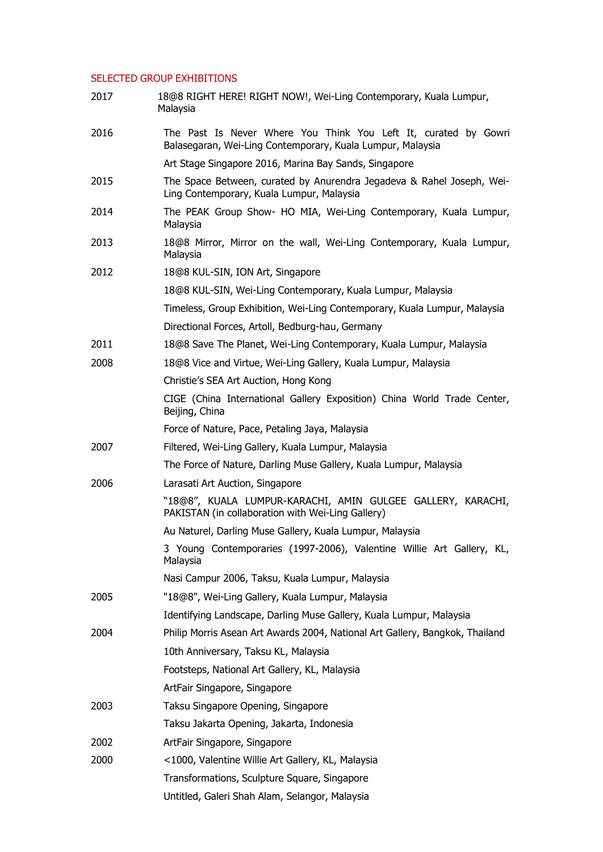#### SELECTED GROUP EXHIBITIONS

| 2017 | 18@8 RIGHT HERE! RIGHT NOW!, Wei-Ling Contemporary, Kuala Lumpur,<br>Malaysia                                                 |
|------|-------------------------------------------------------------------------------------------------------------------------------|
| 2016 | The Past Is Never Where You Think You Left It, curated by Gowri<br>Balasegaran, Wei-Ling Contemporary, Kuala Lumpur, Malaysia |
|      | Art Stage Singapore 2016, Marina Bay Sands, Singapore                                                                         |
| 2015 | The Space Between, curated by Anurendra Jegadeva & Rahel Joseph, Wei-<br>Ling Contemporary, Kuala Lumpur, Malaysia            |
| 2014 | The PEAK Group Show- HO MIA, Wei-Ling Contemporary, Kuala Lumpur,<br>Malaysia                                                 |
| 2013 | 18@8 Mirror, Mirror on the wall, Wei-Ling Contemporary, Kuala Lumpur,<br>Malaysia                                             |
| 2012 | 18@8 KUL-SIN, ION Art, Singapore                                                                                              |
|      | 18@8 KUL-SIN, Wei-Ling Contemporary, Kuala Lumpur, Malaysia                                                                   |
|      | Timeless, Group Exhibition, Wei-Ling Contemporary, Kuala Lumpur, Malaysia                                                     |
|      | Directional Forces, Artoll, Bedburg-hau, Germany                                                                              |
| 2011 | 18@8 Save The Planet, Wei-Ling Contemporary, Kuala Lumpur, Malaysia                                                           |
| 2008 | 18@8 Vice and Virtue, Wei-Ling Gallery, Kuala Lumpur, Malaysia                                                                |
|      | Christie's SEA Art Auction, Hong Kong                                                                                         |
|      | CIGE (China International Gallery Exposition) China World Trade Center,<br>Beijing, China                                     |
|      | Force of Nature, Pace, Petaling Jaya, Malaysia                                                                                |
| 2007 | Filtered, Wei-Ling Gallery, Kuala Lumpur, Malaysia                                                                            |
|      | The Force of Nature, Darling Muse Gallery, Kuala Lumpur, Malaysia                                                             |
| 2006 | Larasati Art Auction, Singapore                                                                                               |
|      | "18@8", KUALA LUMPUR-KARACHI, AMIN GULGEE GALLERY, KARACHI,<br>PAKISTAN (in collaboration with Wei-Ling Gallery)              |
|      | Au Naturel, Darling Muse Gallery, Kuala Lumpur, Malaysia                                                                      |
|      | 3 Young Contemporaries (1997-2006), Valentine Willie Art Gallery, KL,<br>Malaysia                                             |
|      | Nasi Campur 2006, Taksu, Kuala Lumpur, Malaysia                                                                               |
| 2005 | "18@8", Wei-Ling Gallery, Kuala Lumpur, Malaysia                                                                              |
|      | Identifying Landscape, Darling Muse Gallery, Kuala Lumpur, Malaysia                                                           |
| 2004 | Philip Morris Asean Art Awards 2004, National Art Gallery, Bangkok, Thailand                                                  |
|      | 10th Anniversary, Taksu KL, Malaysia                                                                                          |
|      | Footsteps, National Art Gallery, KL, Malaysia                                                                                 |
|      | ArtFair Singapore, Singapore                                                                                                  |
| 2003 | Taksu Singapore Opening, Singapore                                                                                            |
|      | Taksu Jakarta Opening, Jakarta, Indonesia                                                                                     |
| 2002 | ArtFair Singapore, Singapore                                                                                                  |
| 2000 | <1000, Valentine Willie Art Gallery, KL, Malaysia                                                                             |
|      | Transformations, Sculpture Square, Singapore                                                                                  |
|      | Untitled, Galeri Shah Alam, Selangor, Malaysia                                                                                |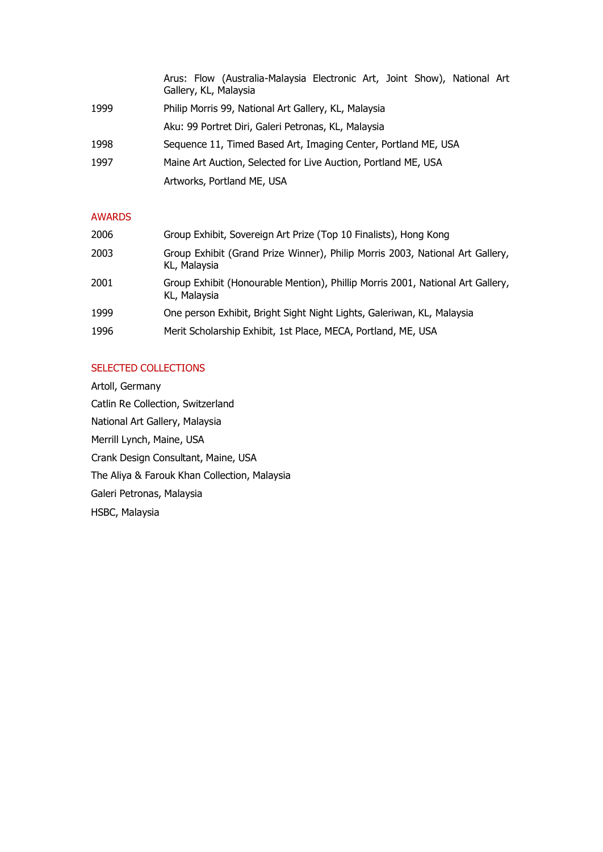|      | Arus: Flow (Australia-Malaysia Electronic Art, Joint Show), National Art<br>Gallery, KL, Malaysia |
|------|---------------------------------------------------------------------------------------------------|
| 1999 | Philip Morris 99, National Art Gallery, KL, Malaysia                                              |
|      | Aku: 99 Portret Diri, Galeri Petronas, KL, Malaysia                                               |
| 1998 | Sequence 11, Timed Based Art, Imaging Center, Portland ME, USA                                    |
| 1997 | Maine Art Auction, Selected for Live Auction, Portland ME, USA                                    |
|      | Artworks, Portland ME, USA                                                                        |

## AWARDS

| 2006 | Group Exhibit, Sovereign Art Prize (Top 10 Finalists), Hong Kong                               |
|------|------------------------------------------------------------------------------------------------|
| 2003 | Group Exhibit (Grand Prize Winner), Philip Morris 2003, National Art Gallery,<br>KL, Malaysia  |
| 2001 | Group Exhibit (Honourable Mention), Phillip Morris 2001, National Art Gallery,<br>KL, Malaysia |
| 1999 | One person Exhibit, Bright Sight Night Lights, Galeriwan, KL, Malaysia                         |
| 1996 | Merit Scholarship Exhibit, 1st Place, MECA, Portland, ME, USA                                  |

## SELECTED COLLECTIONS

Artoll, Germany Catlin Re Collection, Switzerland National Art Gallery, Malaysia Merrill Lynch, Maine, USA Crank Design Consultant, Maine, USA The Aliya & Farouk Khan Collection, Malaysia Galeri Petronas, Malaysia HSBC, Malaysia